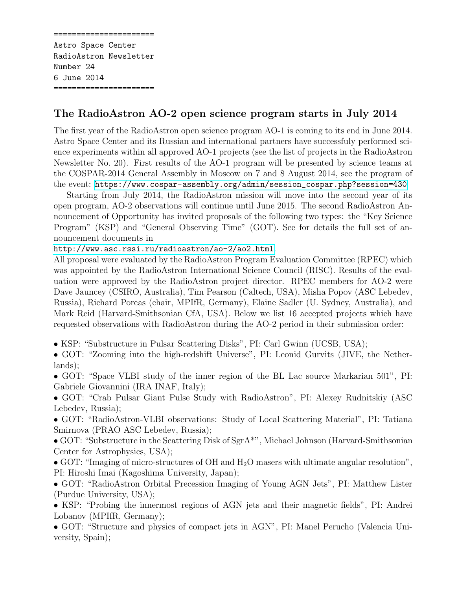====================== Astro Space Center RadioAstron Newsletter Number 24 6 June 2014 ======================

## The RadioAstron AO-2 open science program starts in July 2014

The first year of the RadioAstron open science program AO-1 is coming to its end in June 2014. Astro Space Center and its Russian and international partners have successfuly performed science experiments within all approved AO-1 projects (see the list of projects in the RadioAstron Newsletter No. 20). First results of the AO-1 program will be presented by science teams at the COSPAR-2014 General Assembly in Moscow on 7 and 8 August 2014, see the program of the event: [https://www.cospar-assembly.org/admin/session\\_cospar.php?session=430](https://www.cospar-assembly.org/admin/session_cospar.php?session=430)

Starting from July 2014, the RadioAstron mission will move into the second year of its open program, AO-2 observations will continue until June 2015. The second RadioAstron Announcement of Opportunity has invited proposals of the following two types: the "Key Science Program" (KSP) and "General Observing Time" (GOT). See for details the full set of announcement documents in

## <http://www.asc.rssi.ru/radioastron/ao-2/ao2.html>.

All proposal were evaluated by the RadioAstron Program Evaluation Committee (RPEC) which was appointed by the RadioAstron International Science Council (RISC). Results of the evaluation were approved by the RadioAstron project director. RPEC members for AO-2 were Dave Jauncey (CSIRO, Australia), Tim Pearson (Caltech, USA), Misha Popov (ASC Lebedev, Russia), Richard Porcas (chair, MPIfR, Germany), Elaine Sadler (U. Sydney, Australia), and Mark Reid (Harvard-Smithsonian CfA, USA). Below we list 16 accepted projects which have requested observations with RadioAstron during the AO-2 period in their submission order:

- KSP: "Substructure in Pulsar Scattering Disks", PI: Carl Gwinn (UCSB, USA);
- GOT: "Zooming into the high-redshift Universe", PI: Leonid Gurvits (JIVE, the Netherlands);
- GOT: "Space VLBI study of the inner region of the BL Lac source Markarian 501", PI: Gabriele Giovannini (IRA INAF, Italy);
- GOT: "Crab Pulsar Giant Pulse Study with RadioAstron", PI: Alexey Rudnitskiy (ASC Lebedev, Russia);
- GOT: "RadioAstron-VLBI observations: Study of Local Scattering Material", PI: Tatiana Smirnova (PRAO ASC Lebedev, Russia);
- GOT: "Substructure in the Scattering Disk of SgrA\*", Michael Johnson (Harvard-Smithsonian Center for Astrophysics, USA);
- GOT: "Imaging of micro-structures of OH and  $H_2O$  masers with ultimate angular resolution", PI: Hiroshi Imai (Kagoshima University, Japan);
- GOT: "RadioAstron Orbital Precession Imaging of Young AGN Jets", PI: Matthew Lister (Purdue University, USA);
- KSP: "Probing the innermost regions of AGN jets and their magnetic fields", PI: Andrei Lobanov (MPIfR, Germany);
- GOT: "Structure and physics of compact jets in AGN", PI: Manel Perucho (Valencia University, Spain);